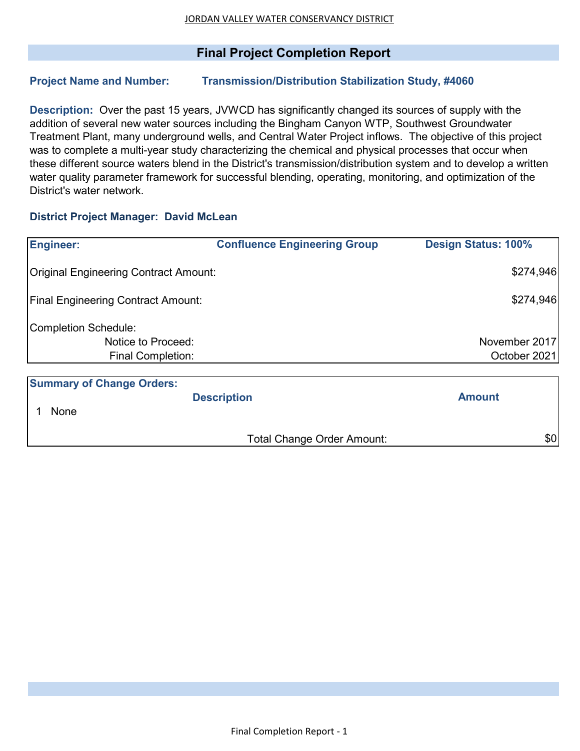## **Final Project Completion Report**

### **Project Name and Number: Transmission/Distribution Stabilization Study, #4060**

**Description:** Over the past 15 years, JVWCD has significantly changed its sources of supply with the addition of several new water sources including the Bingham Canyon WTP, Southwest Groundwater Treatment Plant, many underground wells, and Central Water Project inflows. The objective of this project was to complete a multi-year study characterizing the chemical and physical processes that occur when these different source waters blend in the District's transmission/distribution system and to develop a written water quality parameter framework for successful blending, operating, monitoring, and optimization of the District's water network.

#### **District Project Manager: David McLean**

| <b>Engineer:</b>                             | <b>Confluence Engineering Group</b> | <b>Design Status: 100%</b> |  |  |  |
|----------------------------------------------|-------------------------------------|----------------------------|--|--|--|
| <b>Original Engineering Contract Amount:</b> |                                     | \$274,946                  |  |  |  |
| <b>Final Engineering Contract Amount:</b>    |                                     | \$274,946                  |  |  |  |
| <b>Completion Schedule:</b>                  |                                     |                            |  |  |  |
| Notice to Proceed:                           |                                     | November 2017              |  |  |  |
| Final Completion:                            |                                     | October 2021               |  |  |  |
|                                              |                                     |                            |  |  |  |
| <b>Summary of Change Orders:</b>             |                                     |                            |  |  |  |
|                                              | <b>Description</b>                  | <b>Amount</b>              |  |  |  |
| None                                         |                                     |                            |  |  |  |

Total Change Order Amount:  $$0$ 

Final Completion Report - 1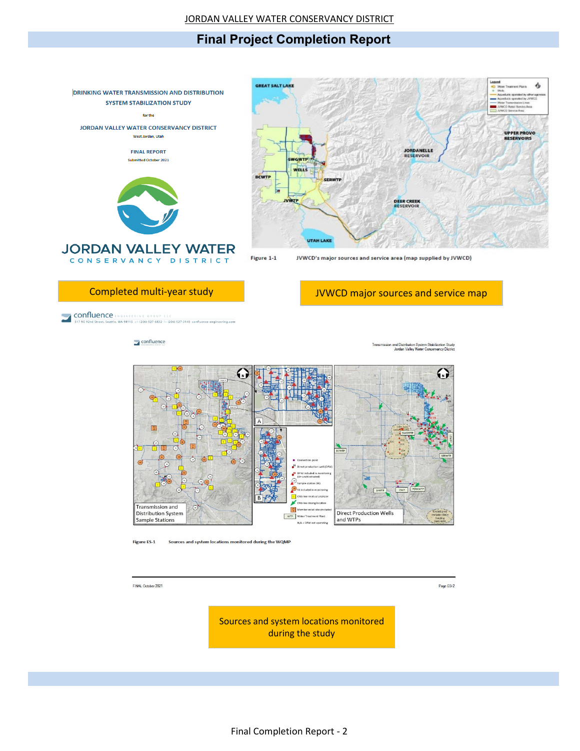# **Final Project Completion Report**



**CONFILIENCE** ENGINEERING GROUP LECTION NET AND STATE STATE SCRIBE SERVED ON A SET OF 12061 527-6832 (x (206) 527-3148 confluence-engi

 $\Box$  confluence



**Figure ES-1** Sources and system locations monitored during the WQMP

FINAL October 2021

Page ES-2

Sources and system locations monitored during the study